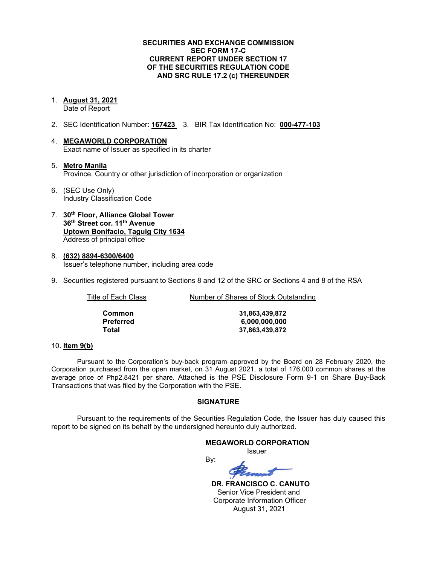#### **SECURITIES AND EXCHANGE COMMISSION SEC FORM 17-C CURRENT REPORT UNDER SECTION 17 OF THE SECURITIES REGULATION CODE AND SRC RULE 17.2 (c) THEREUNDER**

## 1. **August 31, 2021**

Date of Report

- 2. SEC Identification Number: **167423** 3. BIR Tax Identification No: **000-477-103**
- 4. **MEGAWORLD CORPORATION** Exact name of Issuer as specified in its charter
- 5. **Metro Manila** Province, Country or other jurisdiction of incorporation or organization
- 6. (SEC Use Only) Industry Classification Code
- 7. **30th Floor, Alliance Global Tower 36th Street cor. 11th Avenue Uptown Bonifacio, Taguig City 1634** Address of principal office
- 8. **(632) 8894-6300/6400** Issuer's telephone number, including area code
- 9. Securities registered pursuant to Sections 8 and 12 of the SRC or Sections 4 and 8 of the RSA

Title of Each Class Number of Shares of Stock Outstanding

**Common 31,863,439,872 Preferred 6,000,000,000 Total 37,863,439,872**

#### 10. **Item 9(b)**

Pursuant to the Corporation's buy-back program approved by the Board on 28 February 2020, the Corporation purchased from the open market, on 31 August 2021, a total of 176,000 common shares at the average price of Php2.8421 per share. Attached is the PSE Disclosure Form 9-1 on Share Buy-Back Transactions that was filed by the Corporation with the PSE.

#### **SIGNATURE**

Pursuant to the requirements of the Securities Regulation Code, the Issuer has duly caused this report to be signed on its behalf by the undersigned hereunto duly authorized.

## **MEGAWORLD CORPORATION** Issuer By:

 **DR. FRANCISCO C. CANUTO**

 Senior Vice President and Corporate Information Officer August 31, 2021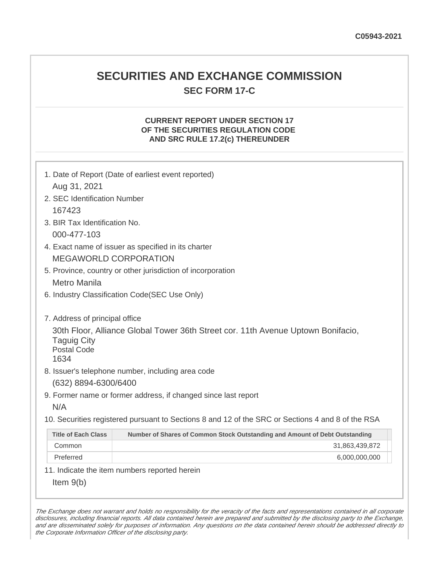## **SECURITIES AND EXCHANGE COMMISSION SEC FORM 17-C**

## **CURRENT REPORT UNDER SECTION 17 OF THE SECURITIES REGULATION CODE AND SRC RULE 17.2(c) THEREUNDER**

| 1. Date of Report (Date of earliest event reported)<br>Aug 31, 2021                                                                                                    |                                                                             |  |  |
|------------------------------------------------------------------------------------------------------------------------------------------------------------------------|-----------------------------------------------------------------------------|--|--|
| 2. SEC Identification Number                                                                                                                                           |                                                                             |  |  |
|                                                                                                                                                                        | 167423<br>3. BIR Tax Identification No.                                     |  |  |
|                                                                                                                                                                        | 000-477-103                                                                 |  |  |
| 4. Exact name of issuer as specified in its charter                                                                                                                    |                                                                             |  |  |
| <b>MEGAWORLD CORPORATION</b>                                                                                                                                           |                                                                             |  |  |
| 5. Province, country or other jurisdiction of incorporation                                                                                                            |                                                                             |  |  |
| <b>Metro Manila</b>                                                                                                                                                    |                                                                             |  |  |
| 6. Industry Classification Code(SEC Use Only)                                                                                                                          |                                                                             |  |  |
| 7. Address of principal office<br>30th Floor, Alliance Global Tower 36th Street cor. 11th Avenue Uptown Bonifacio,<br><b>Taguig City</b><br><b>Postal Code</b><br>1634 |                                                                             |  |  |
| 8. Issuer's telephone number, including area code                                                                                                                      |                                                                             |  |  |
| (632) 8894-6300/6400                                                                                                                                                   |                                                                             |  |  |
| 9. Former name or former address, if changed since last report                                                                                                         |                                                                             |  |  |
| N/A                                                                                                                                                                    |                                                                             |  |  |
| 10. Securities registered pursuant to Sections 8 and 12 of the SRC or Sections 4 and 8 of the RSA                                                                      |                                                                             |  |  |
| <b>Title of Each Class</b>                                                                                                                                             | Number of Shares of Common Stock Outstanding and Amount of Debt Outstanding |  |  |
| Common                                                                                                                                                                 | 31,863,439,872                                                              |  |  |
| Preferred                                                                                                                                                              | 6,000,000,000                                                               |  |  |
| 11. Indicate the item numbers reported herein                                                                                                                          |                                                                             |  |  |
| Item $9(b)$                                                                                                                                                            |                                                                             |  |  |

The Exchange does not warrant and holds no responsibility for the veracity of the facts and representations contained in all corporate disclosures, including financial reports. All data contained herein are prepared and submitted by the disclosing party to the Exchange, and are disseminated solely for purposes of information. Any questions on the data contained herein should be addressed directly to the Corporate Information Officer of the disclosing party.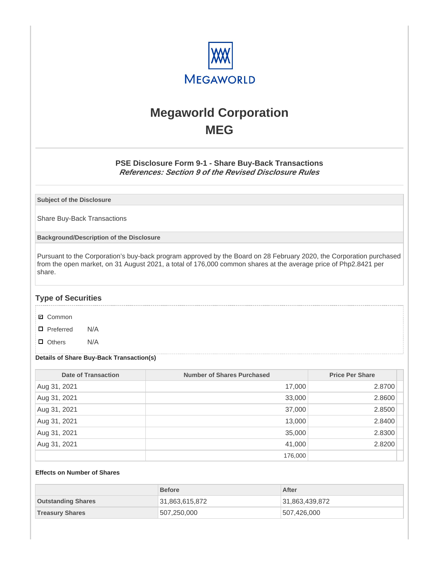

# **Megaworld Corporation MEG**

## **PSE Disclosure Form 9-1 - Share Buy-Back Transactions References: Section 9 of the Revised Disclosure Rules**

**Subject of the Disclosure**

Share Buy-Back Transactions

**Background/Description of the Disclosure**

Pursuant to the Corporation's buy-back program approved by the Board on 28 February 2020, the Corporation purchased from the open market, on 31 August 2021, a total of 176,000 common shares at the average price of Php2.8421 per share.

## **Type of Securities**

- **☑** Common
- □ Preferred N/A
- D Others N/A

#### **Details of Share Buy-Back Transaction(s)**

| <b>Date of Transaction</b> | <b>Number of Shares Purchased</b> | <b>Price Per Share</b> |
|----------------------------|-----------------------------------|------------------------|
| Aug 31, 2021               | 17,000                            | 2.8700                 |
| Aug 31, 2021               | 33,000                            | 2.8600                 |
| Aug 31, 2021               | 37,000                            | 2.8500                 |
| Aug 31, 2021               | 13,000                            | 2.8400                 |
| Aug 31, 2021               | 35,000                            | 2.8300                 |
| Aug 31, 2021               | 41,000                            | 2.8200                 |
|                            | 176,000                           |                        |

#### **Effects on Number of Shares**

|                           | <b>Before</b>  | After          |
|---------------------------|----------------|----------------|
| <b>Outstanding Shares</b> | 31,863,615,872 | 31,863,439,872 |
| <b>Treasury Shares</b>    | 1507,250,000   | 507,426,000    |